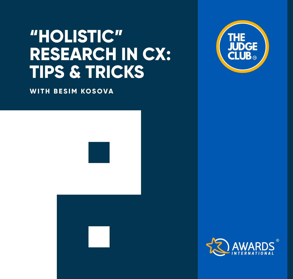# **"HOLISTIC" RESEARCH IN CX: TIPS & TRICKS**

**WITH BESIM KOSOVA** 





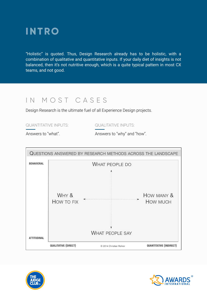

"Holistic" is quoted. Thus, Design Research already has to be holistic, with a combination of qualitative and quantitative inputs. If your daily diet of insights is not balanced, then it's not nutritive enough, which is a quite typical pattern in most CX teams, and not good.

## IN MOST CASES

Design Research is the ultimate fuel of all Experience Design projects.

QUANTITATIVE INPUTS: QUALITATIVE INPUTS:

Answers to "what". Answers to "why" and "how".





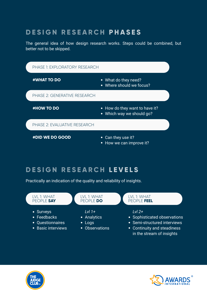## **D E S I G N R E S E A R C H P H A S E S**

The general idea of how design research works. Steps could be combined, but better not to be skipped.



## **D E S I G N R E S E A R C H L E V E L S**

Practically an indication of the quality and reliability of insights.

#### LVL 1: WHAT PEOPLE **SAY**

- Surveys
- Feedbacks
- Ouestionnaires
- Basic interviews

#### LVL 1: WHAT PEOPLE **DO**

#### *Lvl 1+*

- Analytics
- Logs
- Observations

#### LVL 1: WHAT PEOPLE **FEEL**

#### *Lvl 2+*

- Sophisticated observations
- Semi-structured interviews
- Continuity and steadiness in the stream of insights



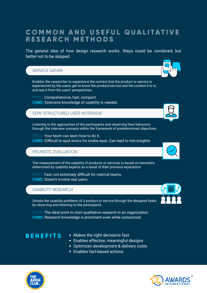### **COMMON AND USEFUL QUALITATIVE R E S E A R C H M E T H O D S**

The general idea of how design research works. Steps could be combined, but better not to be skipped.

#### SERVICE SAFARI

Enables the researcher to experience the context that the product or service is experienced by the users, get to know the product/service and the context it is in, and see it from the users' perspectives.

Comprehensive, fast, compact **CONS:** Extensive knowledge of usability is needed.

#### SEMI-STRUCTURED USER INTERVIEW

Listening to the approaches of the participants and observing their behaviors through the interview scenario within the framework of predetermined objectives.

**PROS:** Your team can learn how to do it. **CONS:** Difficult to spot errors for rookie eyes. Can lead to mis-insights.

#### HEURISTIC EVALUATION

The measurement of the usability of products or services is based on heuristics determined by usability experts as a result of their previous experience.

Fast, not extremely difficult for internal teams. **CONS:** Doesn't involve real users.

#### USABILITY RESEARCH

Unveils the usability problems of a product or service through the designed tasks by observing and listening to the participants.

The ideal point to start qualitative research in an organization. **CONS:** Research knowledge is prominent even while outsourced.

- **BENEFITS** Makes the right decisions fast
	- Enables effective, meaningful designs
	- Optimizes development & delivery costs
	- Enables fact-based actions